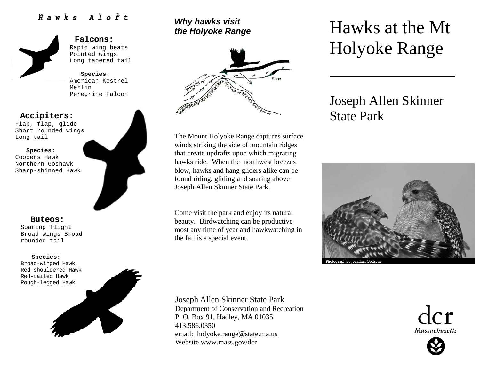## *Hawks Aloft*



#### **Falcons:** Rapid wing beats Pointed wings Long tapered tail

**Species:**  American Kestrel Merlin Peregrine Falcon

### **Accipiters:**

Flap, flap, glide Short rounded wings Long tail

#### **Species:**

Coopers Hawk Northern Goshawk Sharp-shinned Hawk

#### **Buteos:**

Soaring flight Broad wings Broad rounded tail

#### **Species:**

Broad-winged Hawk Red-shouldered Hawk Red-tailed Hawk Rough-legged Hawk



## *Why hawks visit the Holyoke Range*



The Mount Holyoke Range captures surface winds striking the side of mountain ridges that create updrafts upon which migrating hawks ride. When the northwest breezes blow, hawks and hang gliders alike can be found riding, gliding and soaring above Joseph Allen Skinner State Park.

Come visit the park and enjoy its natural beauty. Birdwatching can be productive most any time of year and hawkwatching in the fall is a special event.

# Hawks at the Mt Holyoke Range

## Joseph Allen Skinner State Park



Joseph Allen Skinner State Park

Department of Conservation and Recreation P. O. Box 91, Hadley, MA 01035 413.586.0350 email: holyoke.range@state.ma.us Website www.mass.gov/dcr